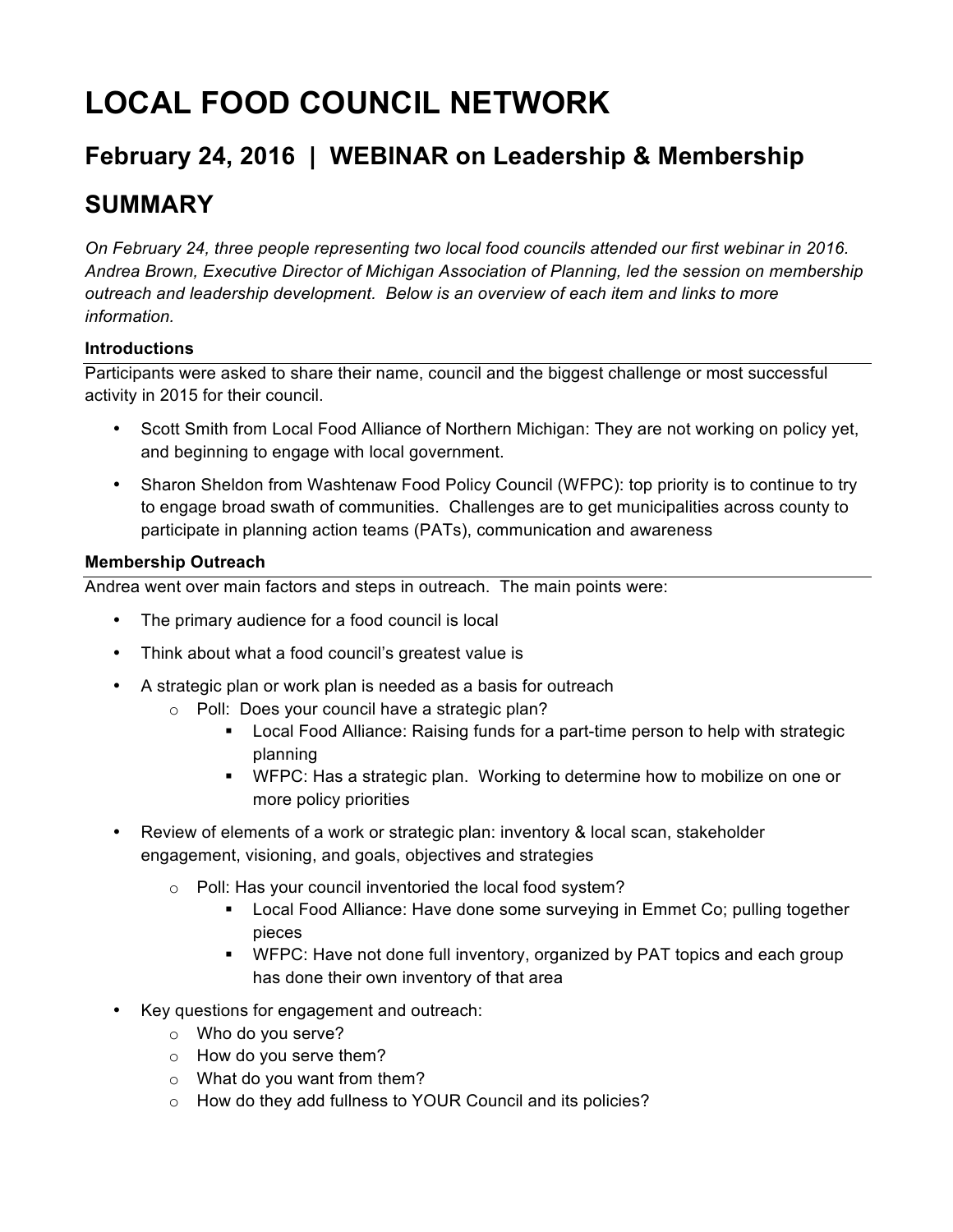# **LOCAL FOOD COUNCIL NETWORK**

# **February 24, 2016 | WEBINAR on Leadership & Membership**

# **SUMMARY**

*On February 24, three people representing two local food councils attended our first webinar in 2016. Andrea Brown, Executive Director of Michigan Association of Planning, led the session on membership outreach and leadership development. Below is an overview of each item and links to more information.* 

## **Introductions**

Participants were asked to share their name, council and the biggest challenge or most successful activity in 2015 for their council.

- Scott Smith from Local Food Alliance of Northern Michigan: They are not working on policy yet, and beginning to engage with local government.
- Sharon Sheldon from Washtenaw Food Policy Council (WFPC): top priority is to continue to try to engage broad swath of communities. Challenges are to get municipalities across county to participate in planning action teams (PATs), communication and awareness

### **Membership Outreach**

Andrea went over main factors and steps in outreach. The main points were:

- The primary audience for a food council is local
- Think about what a food council's greatest value is
- A strategic plan or work plan is needed as a basis for outreach
	- o Poll: Does your council have a strategic plan?
		- Local Food Alliance: Raising funds for a part-time person to help with strategic planning
		- § WFPC: Has a strategic plan. Working to determine how to mobilize on one or more policy priorities
- Review of elements of a work or strategic plan: inventory & local scan, stakeholder engagement, visioning, and goals, objectives and strategies
	- o Poll: Has your council inventoried the local food system?
		- Local Food Alliance: Have done some surveying in Emmet Co; pulling together pieces
		- WFPC: Have not done full inventory, organized by PAT topics and each group has done their own inventory of that area
- Key questions for engagement and outreach:
	- o Who do you serve?
	- o How do you serve them?
	- o What do you want from them?
	- o How do they add fullness to YOUR Council and its policies?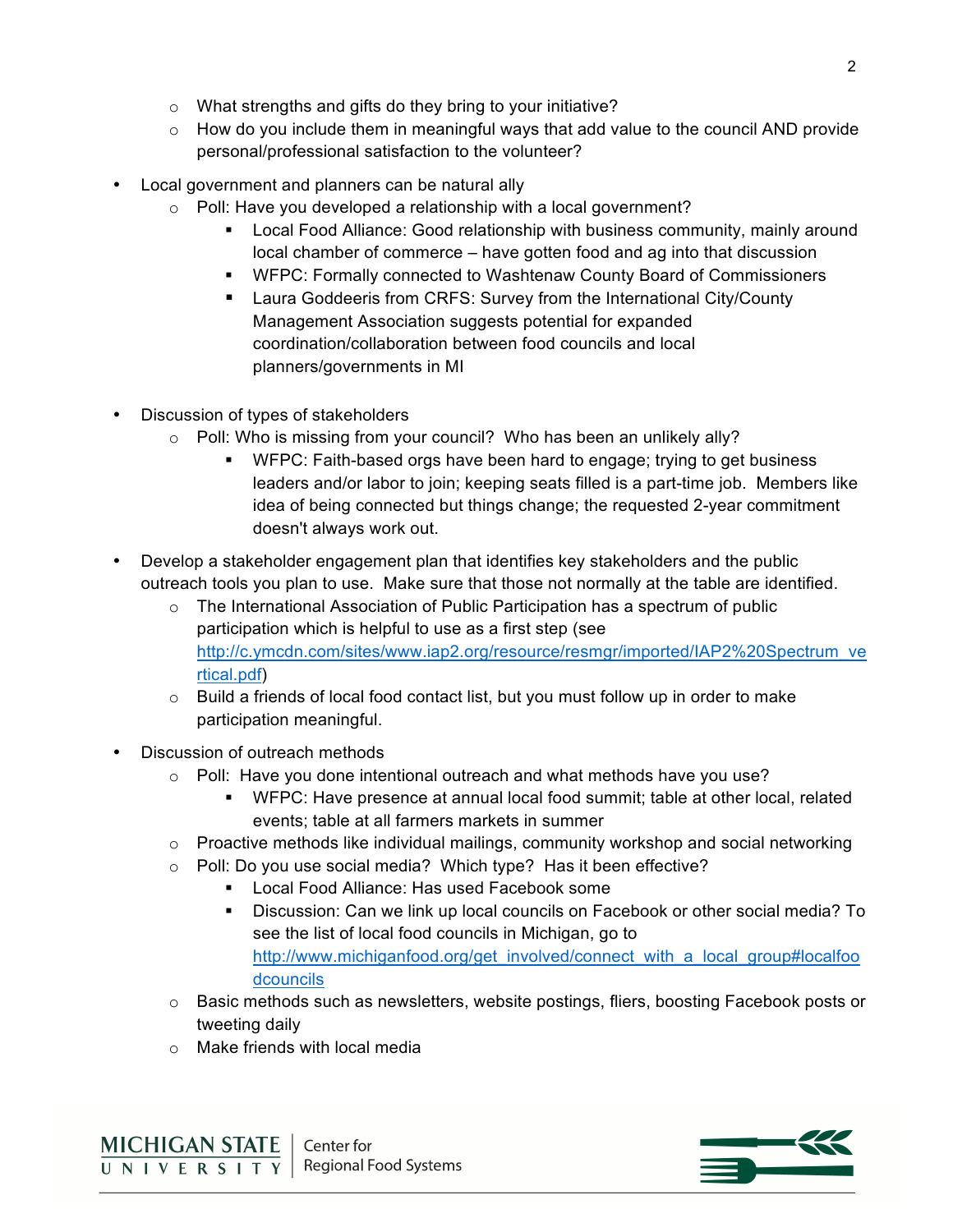- o What strengths and gifts do they bring to your initiative?
- $\circ$  How do you include them in meaningful ways that add value to the council AND provide personal/professional satisfaction to the volunteer?
- Local government and planners can be natural ally
	- o Poll: Have you developed a relationship with a local government?
		- Local Food Alliance: Good relationship with business community, mainly around local chamber of commerce – have gotten food and ag into that discussion
		- § WFPC: Formally connected to Washtenaw County Board of Commissioners
		- Laura Goddeeris from CRFS: Survey from the International City/County Management Association suggests potential for expanded coordination/collaboration between food councils and local planners/governments in MI
- Discussion of types of stakeholders
	- o Poll: Who is missing from your council? Who has been an unlikely ally?
		- WFPC: Faith-based orgs have been hard to engage; trying to get business leaders and/or labor to join; keeping seats filled is a part-time job. Members like idea of being connected but things change; the requested 2-year commitment doesn't always work out.
- Develop a stakeholder engagement plan that identifies key stakeholders and the public outreach tools you plan to use. Make sure that those not normally at the table are identified.
	- $\circ$  The International Association of Public Participation has a spectrum of public participation which is helpful to use as a first step (see http://c.ymcdn.com/sites/www.iap2.org/resource/resmgr/imported/IAP2%20Spectrum\_ve rtical.pdf)
	- $\circ$  Build a friends of local food contact list, but you must follow up in order to make participation meaningful.
- Discussion of outreach methods
	- $\circ$  Poll: Have you done intentional outreach and what methods have you use?
		- § WFPC: Have presence at annual local food summit; table at other local, related events; table at all farmers markets in summer
	- $\circ$  Proactive methods like individual mailings, community workshop and social networking
	- o Poll: Do you use social media? Which type? Has it been effective?
		- Local Food Alliance: Has used Facebook some
		- § Discussion: Can we link up local councils on Facebook or other social media? To see the list of local food councils in Michigan, go to http://www.michiganfood.org/get\_involved/connect\_with\_a\_local\_group#localfoo dcouncils
	- o Basic methods such as newsletters, website postings, fliers, boosting Facebook posts or tweeting daily
	- o Make friends with local media

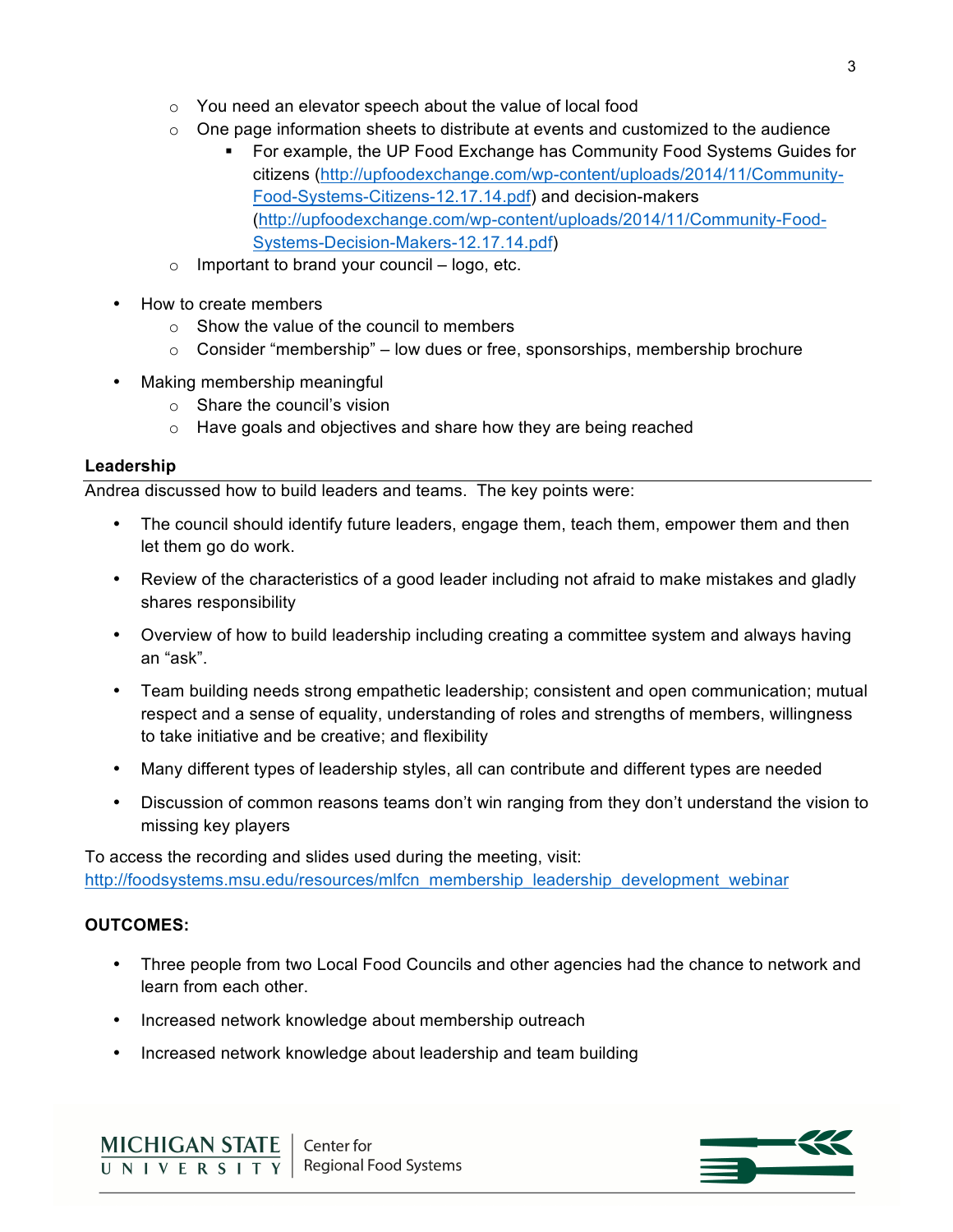- o You need an elevator speech about the value of local food
- $\circ$  One page information sheets to distribute at events and customized to the audience
	- § For example, the UP Food Exchange has Community Food Systems Guides for citizens (http://upfoodexchange.com/wp-content/uploads/2014/11/Community-Food-Systems-Citizens-12.17.14.pdf) and decision-makers (http://upfoodexchange.com/wp-content/uploads/2014/11/Community-Food-Systems-Decision-Makers-12.17.14.pdf)
- o Important to brand your council logo, etc.
- How to create members
	- o Show the value of the council to members
	- $\circ$  Consider "membership" low dues or free, sponsorships, membership brochure
- Making membership meaningful
	- o Share the council's vision
	- o Have goals and objectives and share how they are being reached

#### **Leadership**

Andrea discussed how to build leaders and teams. The key points were:

- The council should identify future leaders, engage them, teach them, empower them and then let them go do work.
- Review of the characteristics of a good leader including not afraid to make mistakes and gladly shares responsibility
- Overview of how to build leadership including creating a committee system and always having an "ask".
- Team building needs strong empathetic leadership; consistent and open communication; mutual respect and a sense of equality, understanding of roles and strengths of members, willingness to take initiative and be creative; and flexibility
- Many different types of leadership styles, all can contribute and different types are needed
- Discussion of common reasons teams don't win ranging from they don't understand the vision to missing key players

To access the recording and slides used during the meeting, visit: http://foodsystems.msu.edu/resources/mlfcn\_membership\_leadership\_development\_webinar

#### **OUTCOMES:**

- Three people from two Local Food Councils and other agencies had the chance to network and learn from each other.
- Increased network knowledge about membership outreach
- Increased network knowledge about leadership and team building